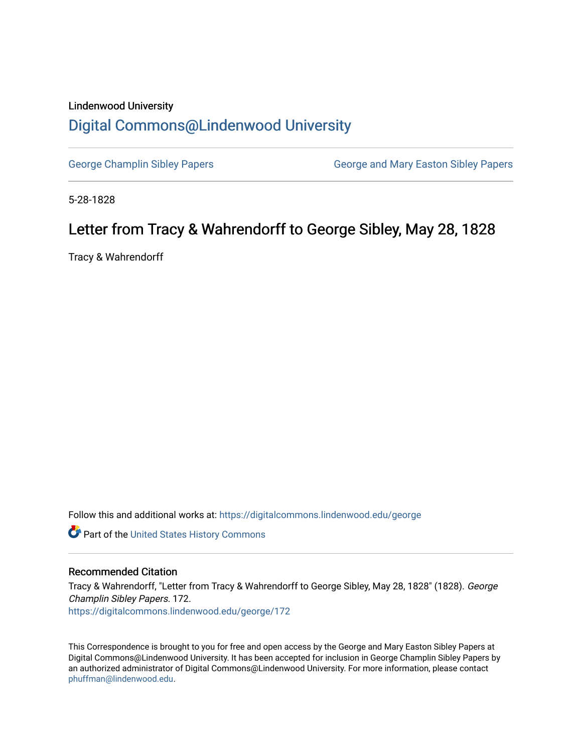## Lindenwood University [Digital Commons@Lindenwood University](https://digitalcommons.lindenwood.edu/)

[George Champlin Sibley Papers](https://digitalcommons.lindenwood.edu/george) George and Mary Easton Sibley Papers

5-28-1828

## Letter from Tracy & Wahrendorff to George Sibley, May 28, 1828

Tracy & Wahrendorff

Follow this and additional works at: [https://digitalcommons.lindenwood.edu/george](https://digitalcommons.lindenwood.edu/george?utm_source=digitalcommons.lindenwood.edu%2Fgeorge%2F172&utm_medium=PDF&utm_campaign=PDFCoverPages)

Part of the [United States History Commons](http://network.bepress.com/hgg/discipline/495?utm_source=digitalcommons.lindenwood.edu%2Fgeorge%2F172&utm_medium=PDF&utm_campaign=PDFCoverPages) 

## Recommended Citation

Tracy & Wahrendorff, "Letter from Tracy & Wahrendorff to George Sibley, May 28, 1828" (1828). George Champlin Sibley Papers. 172. [https://digitalcommons.lindenwood.edu/george/172](https://digitalcommons.lindenwood.edu/george/172?utm_source=digitalcommons.lindenwood.edu%2Fgeorge%2F172&utm_medium=PDF&utm_campaign=PDFCoverPages)

This Correspondence is brought to you for free and open access by the George and Mary Easton Sibley Papers at Digital Commons@Lindenwood University. It has been accepted for inclusion in George Champlin Sibley Papers by an authorized administrator of Digital Commons@Lindenwood University. For more information, please contact [phuffman@lindenwood.edu](mailto:phuffman@lindenwood.edu).